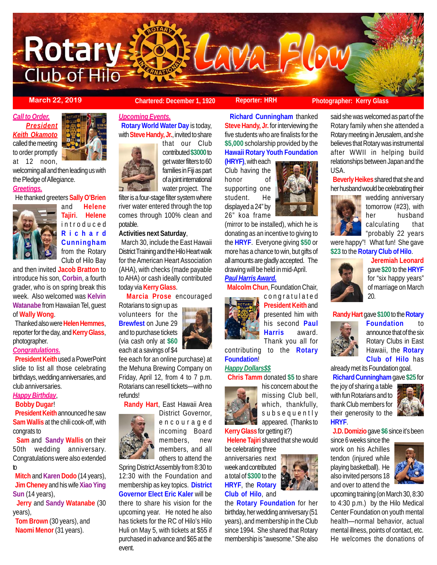

### **March 22, 2019 Chartered: December 1, 1920 Reporter: HRH** Photographer: Kerry Glass

*Call to Order. President Keith Okamoto* called the meeting to order promptly

at 12 noon,

welcoming all and then leading us with the Pledge of Allegiance.

# *Greetings.*

He thanked greeters **Sally O'Brien**



and **Helene Tajiri**. **Helene** introduced **Richard Cunningham** from the Rotary Club of Hilo Bay

and then invited **Jacob Bratton** to introduce his son, **Corbin**, a fourth grader, who is on spring break this week. Also welcomed was **Kelvin Watanabe** from Hawaiian Tel, guest of **Wally Wong**.

 Thanked also were **Helen Hemmes**, reporter for the day, and **Kerry Glass**, photographer.

#### *Congratulations.*

 **President Keith** used a PowerPoint slide to list all those celebrating birthdays, wedding anniversaries, and club anniversaries.

#### *Happy Birthday*,

# **Bobby Dugar**!

**President Keith** announced he saw **Sam Wallis** at the chili cook-off, with congrats to

 **Sam** and **Sandy Wallis** on their 50th wedding anniversary. Congratulations were also extended to

 **Mitch** and **Karen Dodo** (14 years), **Jim Cheney** and his wife **Xiao Ying Sun** (14 years),

 **Jerry** and **Sandy Watanabe** (30 years),

 **Tom Brown** (30 years), and **Naomi Menor** (31 years).



*Upcoming Events.* **Rotary World Water Day** is today,

with **Steve Handy, Jr.**, invited to share



that our Club contributed **\$3000** to get water filters to 60 families in Fiji as part of a joint international water project. The

filter is a four-stage filter system where river water entered through the top comes through 100% clean and potable.

### **Activities next Saturday**,

 March 30, include the East Hawaii District Training and the Hilo Heart walk for the American Heart Association (AHA), with checks (made payable to AHA) or cash ideally contributed today via **Kerry Glass**.

**Marcia Prose** encouraged

Rotarians to sign up as volunteers for the **Brewfest** on June 29 and to purchase tickets (via cash only at **\$60** each at a savings of \$4



**Randy Hart**, East Hawaii Area



encouraged incoming Board members, new members, and all others to attend the

Spring District Assembly from 8:30 to 12:30 with the Foundation and membership as key topics. **District Governor Elect Eric Kaler** will be there to share his vision for the upcoming year. He noted he also has tickets for the RC of Hilo's Hilo Huli on May 5, with tickets at \$55 if purchased in advance and \$65 at the event.

 **Richard Cunningham** thanked **Steve Handy, Jr.** for interviewing the five students who are finalists for the **\$5,000** scholarship provided by the **Hawaii Rotary Youth Foundation**

**(HRYF)**, with each Club having the honor of supporting one student. He displayed a 24" by 26" koa frame



# *Paul Harris Award.*

 **Malcolm Chun**, Foundation Chair, congratulated



**President Keith** and presented him with his second **Paul Harris** award. Thank you all for

his concern about the missing Club bell, which, thankfully, subsequently appeared. (Thanks to

contributing to the **Rotary Foundation**!

### *Happy Dollars\$\$*

**Chris Tamm** donated **\$5** to share

**Kerry Glass** for getting it?)

**Helene Tajiri** shared that she would

be celebrating three anniversaries next week and contributed a total of **\$300** to the **HRYF**, the **Rotary Club of Hilo**, and



said she was welcomed as part of the Rotary family when she attended a Rotary meeting in Jerusalem, and she believes that Rotary was instrumental after WWII in helping build relationships between Japan and the USA.

 **Beverly Heikes** shared that she and her husband would be celebrating their



wedding anniversary tomorrow (#23), with her husband calculating that "probably 22 years

were happy"! What fun! She gave **\$23** to the **Rotary Club of Hilo**.



 **Jeremiah Leonard** gave **\$20** to the **HRYF** for "six happy years" of marriage on March 20.

### **Randy Hart** gave **\$100** to the **Rotary**



**Foundation** to announce that of the six Rotary Clubs in East Hawaii, the **Rotary Club of Hilo** has

already met its Foundation goal. **Richard Cunningham** gave **\$25** for

the joy of sharing a table with fun Rotarians and to thank Club members for their generosity to the **HRYF**.



**J.D. Domizio** gave **\$6** since it's been

since 6 weeks since the work on his Achilles tendon (injured while playing basketball). He also invited persons 18 and over to attend the



upcoming training (on March 30, 8:30 to 4:30 p.m.) by the Hilo Medical Center Foundation on youth mental health—normal behavior, actual mental illness, points of contact, etc. He welcomes the donations of